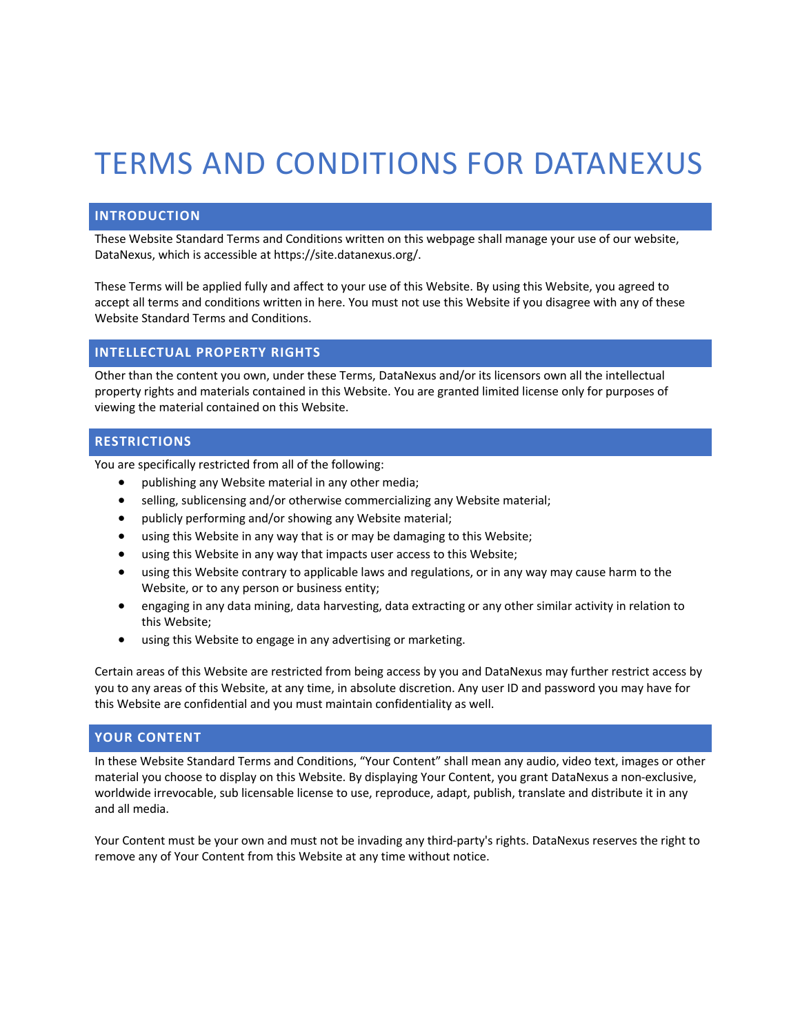# TERMS AND CONDITIONS FOR DATANEXUS

## **INTRODUCTION**

These Website Standard Terms and Conditions written on this webpage shall manage your use of our website, DataNexus, which is accessible at https://site.datanexus.org/.

These Terms will be applied fully and affect to your use of this Website. By using this Website, you agreed to accept all terms and conditions written in here. You must not use this Website if you disagree with any of these Website Standard Terms and Conditions.

### **INTELLECTUAL PROPERTY RIGHTS**

Other than the content you own, under these Terms, DataNexus and/or its licensors own all the intellectual property rights and materials contained in this Website. You are granted limited license only for purposes of viewing the material contained on this Website.

## **RESTRICTIONS**

You are specifically restricted from all of the following:

- publishing any Website material in any other media;
- selling, sublicensing and/or otherwise commercializing any Website material;
- publicly performing and/or showing any Website material;
- using this Website in any way that is or may be damaging to this Website;
- using this Website in any way that impacts user access to this Website;
- using this Website contrary to applicable laws and regulations, or in any way may cause harm to the Website, or to any person or business entity;
- engaging in any data mining, data harvesting, data extracting or any other similar activity in relation to this Website;
- using this Website to engage in any advertising or marketing.

Certain areas of this Website are restricted from being access by you and DataNexus may further restrict access by you to any areas of this Website, at any time, in absolute discretion. Any user ID and password you may have for this Website are confidential and you must maintain confidentiality as well.

## **YOUR CONTENT**

In these Website Standard Terms and Conditions, "Your Content" shall mean any audio, video text, images or other material you choose to display on this Website. By displaying Your Content, you grant DataNexus a non-exclusive, worldwide irrevocable, sub licensable license to use, reproduce, adapt, publish, translate and distribute it in any and all media.

Your Content must be your own and must not be invading any third-party's rights. DataNexus reserves the right to remove any of Your Content from this Website at any time without notice.